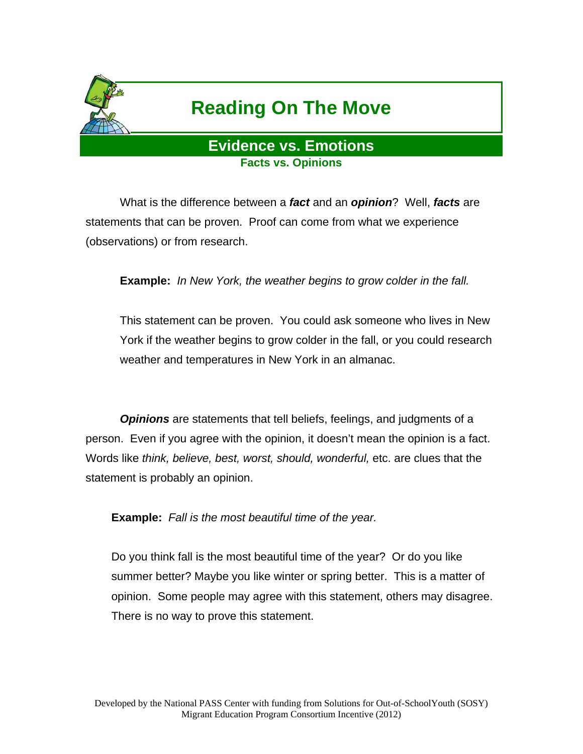

# **Reading On The Move**

# **Evidence vs. Emotions Facts vs. Opinions**

 What is the difference between a *fact* and an *opinion*? Well, *facts* are statements that can be proven. Proof can come from what we experience (observations) or from research.

**Example:** *In New York, the weather begins to grow colder in the fall.* 

This statement can be proven. You could ask someone who lives in New York if the weather begins to grow colder in the fall, or you could research weather and temperatures in New York in an almanac.

 *Opinions* are statements that tell beliefs, feelings, and judgments of a person. Even if you agree with the opinion, it doesn't mean the opinion is a fact. Words like *think, believe, best, worst, should, wonderful,* etc. are clues that the statement is probably an opinion.

**Example:** *Fall is the most beautiful time of the year.* 

Do you think fall is the most beautiful time of the year? Or do you like summer better? Maybe you like winter or spring better. This is a matter of opinion. Some people may agree with this statement, others may disagree. There is no way to prove this statement.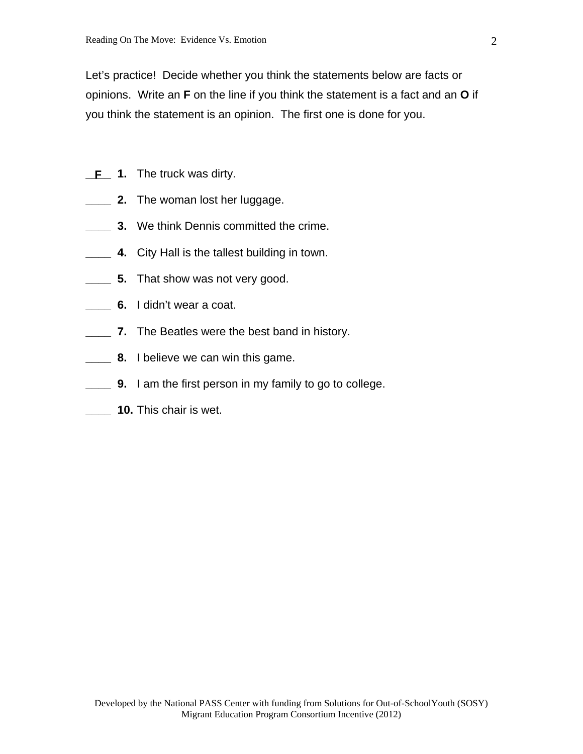Let's practice! Decide whether you think the statements below are facts or opinions. Write an **F** on the line if you think the statement is a fact and an **O** if you think the statement is an opinion. The first one is done for you.

- **\_F** 1. The truck was dirty.
- **\_\_\_\_ 2.** The woman lost her luggage.
- **3.** We think Dennis committed the crime.
- **\_\_\_\_ 4.** City Hall is the tallest building in town.
- **\_\_\_\_ 5.** That show was not very good.
- **6.** I didn't wear a coat.
- **\_\_\_\_ 7.** The Beatles were the best band in history.
- **8.** I believe we can win this game.
- **\_\_\_\_ 9.** I am the first person in my family to go to college.
- **\_\_\_\_ 10.** This chair is wet.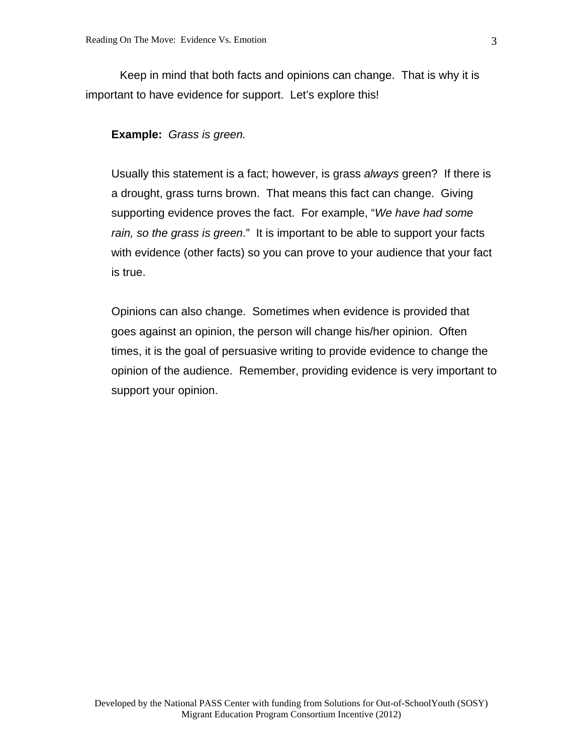Keep in mind that both facts and opinions can change. That is why it is important to have evidence for support. Let's explore this!

**Example:** *Grass is green.*

Usually this statement is a fact; however, is grass *always* green? If there is a drought, grass turns brown. That means this fact can change. Giving supporting evidence proves the fact. For example, "*We have had some rain, so the grass is green*." It is important to be able to support your facts with evidence (other facts) so you can prove to your audience that your fact is true.

Opinions can also change. Sometimes when evidence is provided that goes against an opinion, the person will change his/her opinion. Often times, it is the goal of persuasive writing to provide evidence to change the opinion of the audience. Remember, providing evidence is very important to support your opinion.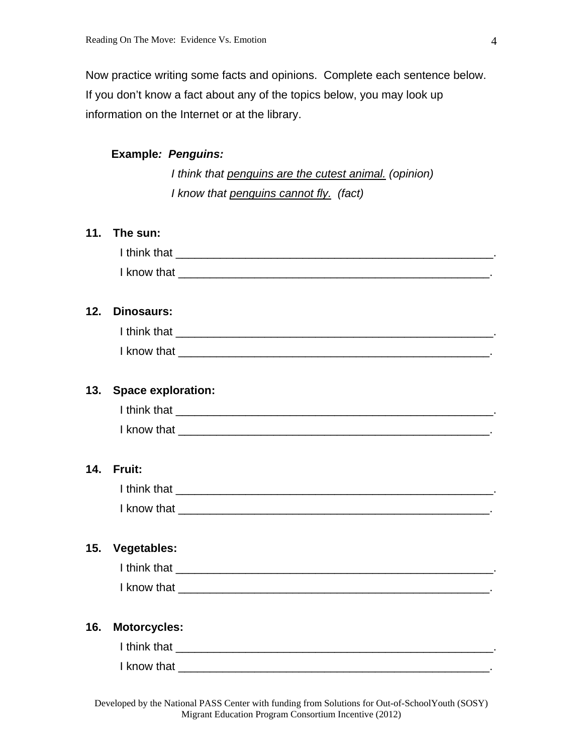Now practice writing some facts and opinions. Complete each sentence below. If you don't know a fact about any of the topics below, you may look up information on the Internet or at the library.

# **Example***: Penguins:*

*I think that penguins are the cutest animal. (opinion) I know that penguins cannot fly. (fact)* 

#### **11. The sun:**

| 12. | <b>Dinosaurs:</b>         |  |
|-----|---------------------------|--|
|     |                           |  |
|     |                           |  |
| 13. | <b>Space exploration:</b> |  |
|     |                           |  |
|     |                           |  |
| 14. | Fruit:                    |  |
|     |                           |  |
|     |                           |  |
| 15. | <b>Vegetables:</b>        |  |
|     |                           |  |
|     |                           |  |
| 16. | <b>Motorcycles:</b>       |  |
|     |                           |  |
|     |                           |  |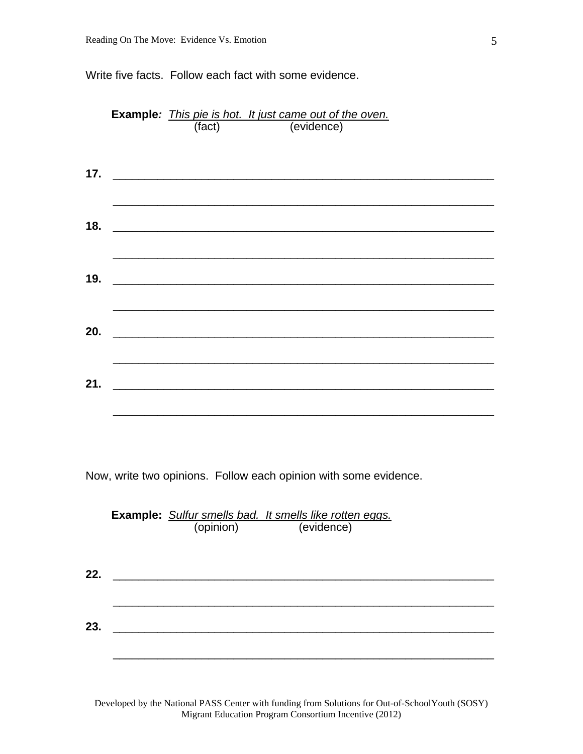Write five facts. Follow each fact with some evidence.

|     | <b>Example:</b> <i>This pie is hot. It just came out of the oven.</i><br>(fact) (evidence)                            |                                                                                                                       |  |  |  |
|-----|-----------------------------------------------------------------------------------------------------------------------|-----------------------------------------------------------------------------------------------------------------------|--|--|--|
|     |                                                                                                                       |                                                                                                                       |  |  |  |
|     |                                                                                                                       |                                                                                                                       |  |  |  |
|     |                                                                                                                       |                                                                                                                       |  |  |  |
| 17. |                                                                                                                       | <u> 1980 - Jan Samuel Barbara, margaret eta bat zen arte</u>                                                          |  |  |  |
|     |                                                                                                                       |                                                                                                                       |  |  |  |
|     |                                                                                                                       |                                                                                                                       |  |  |  |
|     |                                                                                                                       |                                                                                                                       |  |  |  |
| 18. |                                                                                                                       |                                                                                                                       |  |  |  |
|     |                                                                                                                       |                                                                                                                       |  |  |  |
|     |                                                                                                                       |                                                                                                                       |  |  |  |
|     |                                                                                                                       |                                                                                                                       |  |  |  |
| 19. |                                                                                                                       |                                                                                                                       |  |  |  |
|     |                                                                                                                       |                                                                                                                       |  |  |  |
|     |                                                                                                                       |                                                                                                                       |  |  |  |
| 20. | <u> 1999 - Johann John Harry, mars and de fin de fin de fin de fin de fin de fin de fin de fin de fin de fin de f</u> |                                                                                                                       |  |  |  |
|     |                                                                                                                       |                                                                                                                       |  |  |  |
|     |                                                                                                                       |                                                                                                                       |  |  |  |
|     |                                                                                                                       |                                                                                                                       |  |  |  |
| 21. |                                                                                                                       | <u> 1980 - Johann Harry Harry Harry Harry Harry Harry Harry Harry Harry Harry Harry Harry Harry Harry Harry Harry</u> |  |  |  |
|     |                                                                                                                       |                                                                                                                       |  |  |  |
|     |                                                                                                                       |                                                                                                                       |  |  |  |

Now, write two opinions. Follow each opinion with some evidence.

|     | Example: Sulfur smells bad. It smells like rotten eggs.<br>(opinion)<br>(evidence) |  |  |  |
|-----|------------------------------------------------------------------------------------|--|--|--|
|     |                                                                                    |  |  |  |
| 22. |                                                                                    |  |  |  |
|     |                                                                                    |  |  |  |
| 23. |                                                                                    |  |  |  |
|     |                                                                                    |  |  |  |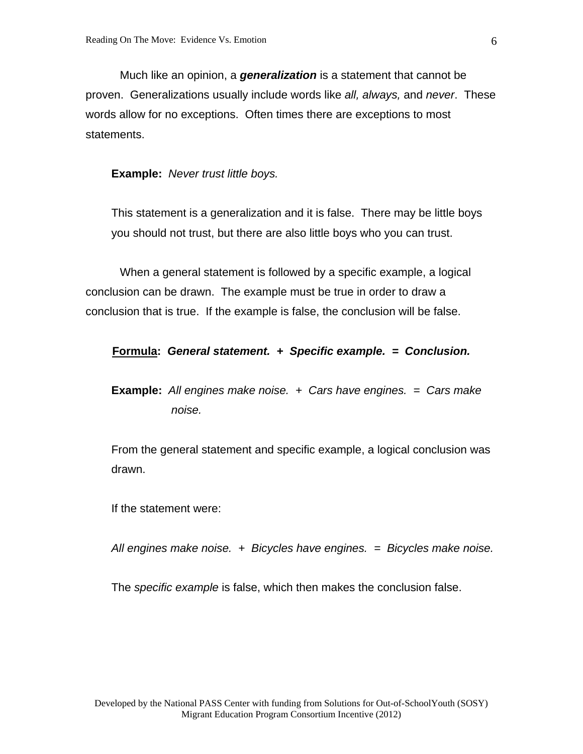Much like an opinion, a *generalization* is a statement that cannot be proven. Generalizations usually include words like *all, always,* and *never*. These words allow for no exceptions. Often times there are exceptions to most statements.

**Example:** *Never trust little boys.* 

This statement is a generalization and it is false. There may be little boys you should not trust, but there are also little boys who you can trust.

 When a general statement is followed by a specific example, a logical conclusion can be drawn. The example must be true in order to draw a conclusion that is true. If the example is false, the conclusion will be false.

#### **Formula:** *General statement. + Specific example. = Conclusion.*

**Example:** *All engines make noise. + Cars have engines. = Cars make noise.*

From the general statement and specific example, a logical conclusion was drawn.

If the statement were:

*All engines make noise. + Bicycles have engines. = Bicycles make noise.* 

The *specific example* is false, which then makes the conclusion false.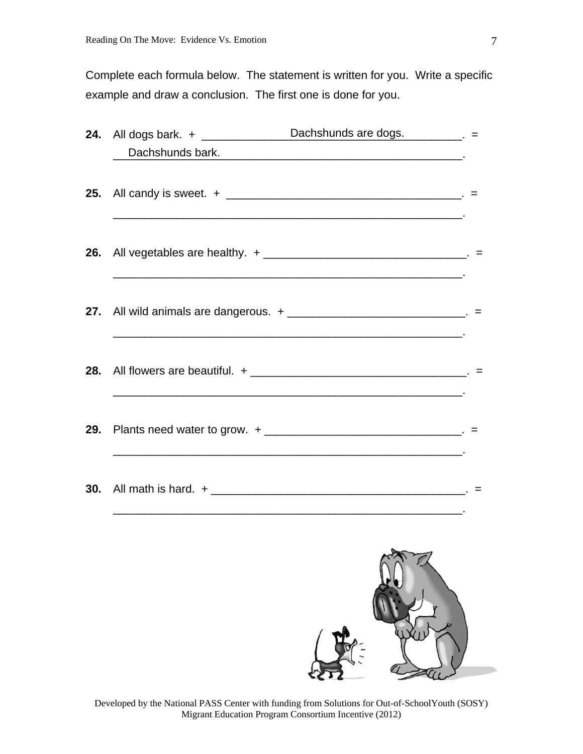Complete each formula below. The statement is written for you. Write a specific example and draw a conclusion. The first one is done for you.

|  | Dachshunds bark.                                                                                                                                                                          |  |
|--|-------------------------------------------------------------------------------------------------------------------------------------------------------------------------------------------|--|
|  |                                                                                                                                                                                           |  |
|  | 26. All vegetables are healthy. + __________________________________. =                                                                                                                   |  |
|  | 27. All wild animals are dangerous. + _______________________________. =                                                                                                                  |  |
|  |                                                                                                                                                                                           |  |
|  | 29. Plants need water to grow. + _________________________________. =<br>and the control of the control of the control of the control of the control of the control of the control of the |  |
|  |                                                                                                                                                                                           |  |
|  |                                                                                                                                                                                           |  |

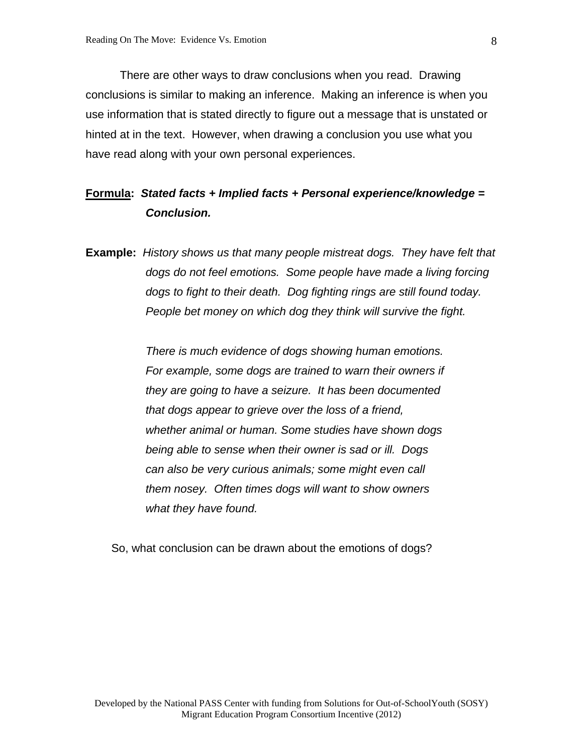There are other ways to draw conclusions when you read. Drawing conclusions is similar to making an inference. Making an inference is when you use information that is stated directly to figure out a message that is unstated or hinted at in the text. However, when drawing a conclusion you use what you have read along with your own personal experiences.

# **Formula:** *Stated facts + Implied facts + Personal experience/knowledge = Conclusion.*

**Example:** *History shows us that many people mistreat dogs. They have felt that dogs do not feel emotions. Some people have made a living forcing dogs to fight to their death. Dog fighting rings are still found today. People bet money on which dog they think will survive the fight.* 

> *There is much evidence of dogs showing human emotions. For example, some dogs are trained to warn their owners if they are going to have a seizure. It has been documented that dogs appear to grieve over the loss of a friend, whether animal or human. Some studies have shown dogs being able to sense when their owner is sad or ill. Dogs can also be very curious animals; some might even call them nosey. Often times dogs will want to show owners what they have found.*

So, what conclusion can be drawn about the emotions of dogs?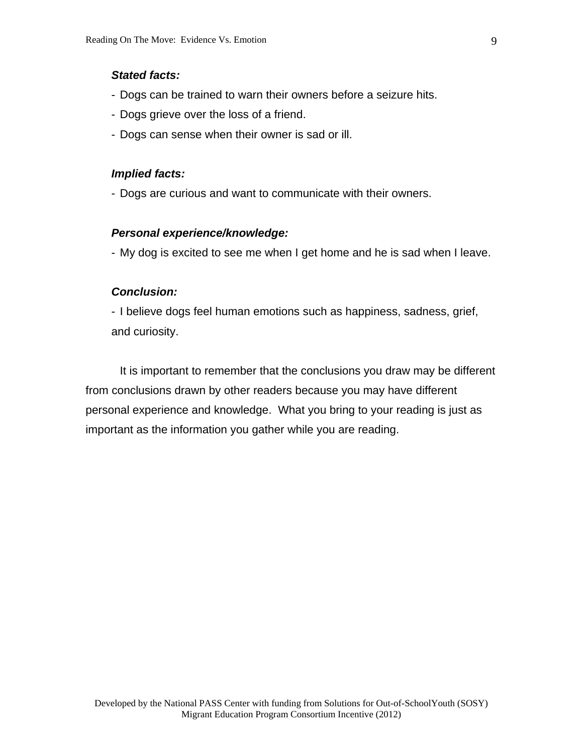## *Stated facts:*

- Dogs can be trained to warn their owners before a seizure hits.
- Dogs grieve over the loss of a friend.
- Dogs can sense when their owner is sad or ill.

#### *Implied facts:*

- Dogs are curious and want to communicate with their owners.

#### *Personal experience/knowledge:*

- My dog is excited to see me when I get home and he is sad when I leave.

#### *Conclusion:*

- I believe dogs feel human emotions such as happiness, sadness, grief, and curiosity.

 It is important to remember that the conclusions you draw may be different from conclusions drawn by other readers because you may have different personal experience and knowledge. What you bring to your reading is just as important as the information you gather while you are reading.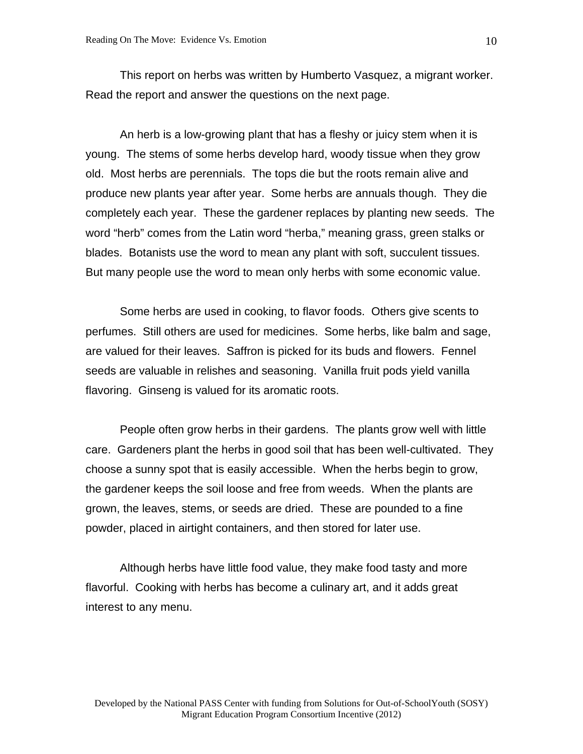This report on herbs was written by Humberto Vasquez, a migrant worker. Read the report and answer the questions on the next page.

 An herb is a low-growing plant that has a fleshy or juicy stem when it is young. The stems of some herbs develop hard, woody tissue when they grow old. Most herbs are perennials. The tops die but the roots remain alive and produce new plants year after year. Some herbs are annuals though. They die completely each year. These the gardener replaces by planting new seeds. The word "herb" comes from the Latin word "herba," meaning grass, green stalks or blades. Botanists use the word to mean any plant with soft, succulent tissues. But many people use the word to mean only herbs with some economic value.

 Some herbs are used in cooking, to flavor foods. Others give scents to perfumes. Still others are used for medicines. Some herbs, like balm and sage, are valued for their leaves. Saffron is picked for its buds and flowers. Fennel seeds are valuable in relishes and seasoning. Vanilla fruit pods yield vanilla flavoring. Ginseng is valued for its aromatic roots.

 People often grow herbs in their gardens. The plants grow well with little care. Gardeners plant the herbs in good soil that has been well-cultivated. They choose a sunny spot that is easily accessible. When the herbs begin to grow, the gardener keeps the soil loose and free from weeds. When the plants are grown, the leaves, stems, or seeds are dried. These are pounded to a fine powder, placed in airtight containers, and then stored for later use.

 Although herbs have little food value, they make food tasty and more flavorful. Cooking with herbs has become a culinary art, and it adds great interest to any menu.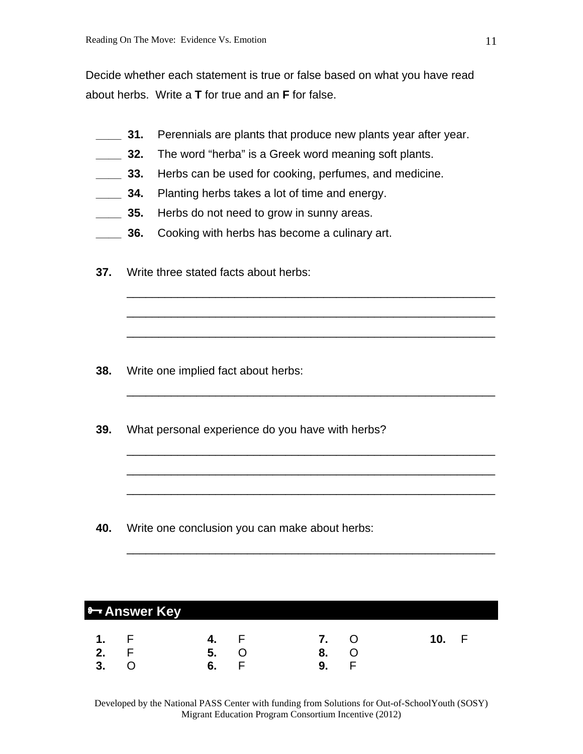Decide whether each statement is true or false based on what you have read about herbs. Write a **T** for true and an **F** for false.

**2001.** Perennials are plants that produce new plants year after year.

\_\_\_\_\_\_\_\_\_\_\_\_\_\_\_\_\_\_\_\_\_\_\_\_\_\_\_\_\_\_\_\_\_\_\_\_\_\_\_\_\_\_\_\_\_\_\_\_\_\_\_\_\_\_\_\_\_\_

\_\_\_\_\_\_\_\_\_\_\_\_\_\_\_\_\_\_\_\_\_\_\_\_\_\_\_\_\_\_\_\_\_\_\_\_\_\_\_\_\_\_\_\_\_\_\_\_\_\_\_\_\_\_\_\_\_\_

\_\_\_\_\_\_\_\_\_\_\_\_\_\_\_\_\_\_\_\_\_\_\_\_\_\_\_\_\_\_\_\_\_\_\_\_\_\_\_\_\_\_\_\_\_\_\_\_\_\_\_\_\_\_\_\_\_\_

\_\_\_\_\_\_\_\_\_\_\_\_\_\_\_\_\_\_\_\_\_\_\_\_\_\_\_\_\_\_\_\_\_\_\_\_\_\_\_\_\_\_\_\_\_\_\_\_\_\_\_\_\_\_\_\_\_\_

\_\_\_\_\_\_\_\_\_\_\_\_\_\_\_\_\_\_\_\_\_\_\_\_\_\_\_\_\_\_\_\_\_\_\_\_\_\_\_\_\_\_\_\_\_\_\_\_\_\_\_\_\_\_\_\_\_\_

\_\_\_\_\_\_\_\_\_\_\_\_\_\_\_\_\_\_\_\_\_\_\_\_\_\_\_\_\_\_\_\_\_\_\_\_\_\_\_\_\_\_\_\_\_\_\_\_\_\_\_\_\_\_\_\_\_\_

\_\_\_\_\_\_\_\_\_\_\_\_\_\_\_\_\_\_\_\_\_\_\_\_\_\_\_\_\_\_\_\_\_\_\_\_\_\_\_\_\_\_\_\_\_\_\_\_\_\_\_\_\_\_\_\_\_\_

\_\_\_\_\_\_\_\_\_\_\_\_\_\_\_\_\_\_\_\_\_\_\_\_\_\_\_\_\_\_\_\_\_\_\_\_\_\_\_\_\_\_\_\_\_\_\_\_\_\_\_\_\_\_\_\_\_\_

- **10. 32.** The word "herba" is a Greek word meaning soft plants.
- **\_\_\_\_ 33.** Herbs can be used for cooking, perfumes, and medicine.
- **14.** Planting herbs takes a lot of time and energy.
- **10.1235.** Herbs do not need to grow in sunny areas.
- **10. 2000** 36. Cooking with herbs has become a culinary art.
- **37.** Write three stated facts about herbs:

- **38.** Write one implied fact about herbs:
- **39.** What personal experience do you have with herbs?

**40.** Write one conclusion you can make about herbs:

| <b>8- Answer Key</b> |     |    |  |                    |          |                    |   |
|----------------------|-----|----|--|--------------------|----------|--------------------|---|
| 1.<br>2.<br>2        | - F | 5. |  | $\mathbf{z}$<br>9. | $\Omega$ | $\blacksquare$ 10. | F |